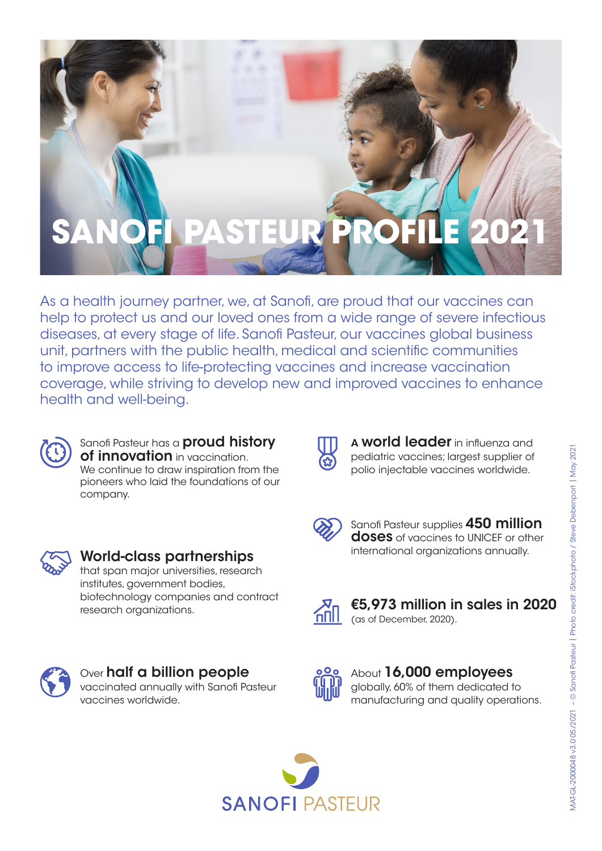# EUR/PRO

As a health journey partner, we, at Sanofi, are proud that our vaccines can help to protect us and our loved ones from a wide range of severe infectious diseases, at every stage of life. Sanofi Pasteur, our vaccines global business unit, partners with the public health, medical and scientific communities to improve access to life-protecting vaccines and increase vaccination coverage, while striving to develop new and improved vaccines to enhance health and well-being.



#### Sanofi Pasteur has a **proud history** of innovation in vaccination. We continue to draw inspiration from the pioneers who laid the foundations of our company.



### World-class partnerships that span major universities, research institutes, government bodies,

biotechnology companies and contract research organizations.



A world leader in influenza and pediatric vaccines; largest supplier of polio injectable vaccines worldwide.



Sanofi Pasteur supplies 450 million doses of vaccines to UNICEF or other international organizations annually.



€5,973 million in sales in 2020 (as of December, 2020).



#### Over **half a billion people** vaccinated annually with Sanofi Pasteur vaccines worldwide.



#### About 16,000 employees globally, 60% of them dedicated to manufacturing and quality operations.